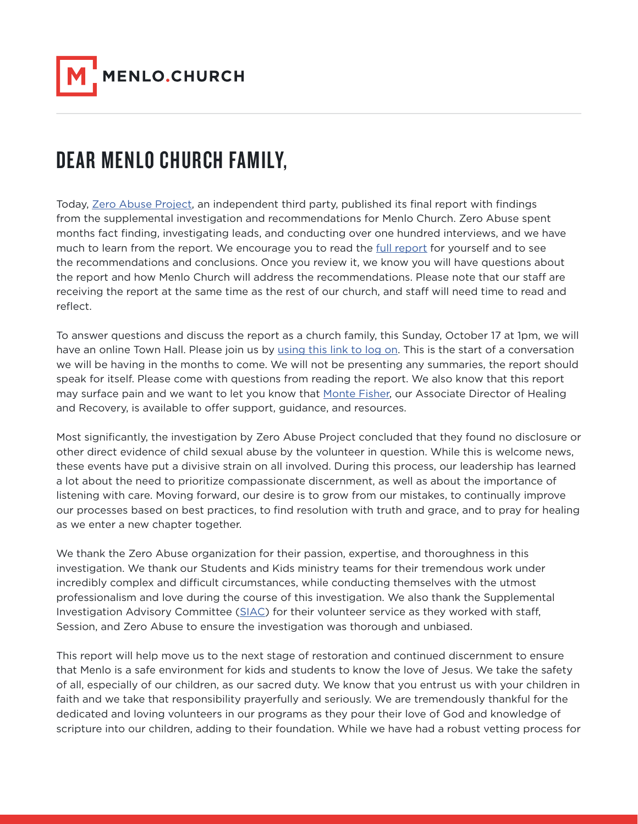

## DEAR MENLO CHURCH FAMILY,

Today, [Zero Abuse Project](https://www.zeroabuseproject.org/), an independent third party, published its final report with findings from the supplemental investigation and recommendations for Menlo Church. Zero Abuse spent months fact finding, investigating leads, and conducting over one hundred interviews, and we have much to learn from the report. We encourage you to read the [full report](https://d279tnhwytxyt3.cloudfront.net/Zero-Abuse-Menlo-Assessment-Final-Report.pdf?mtime=20211013130930) for yourself and to see the recommendations and conclusions. Once you review it, we know you will have questions about the report and how Menlo Church will address the recommendations. Please note that our staff are receiving the report at the same time as the rest of our church, and staff will need time to read and reflect.

To answer questions and discuss the report as a church family, this Sunday, October 17 at 1pm, we will have an online Town Hall. Please join us by [using this link to log on.](https://menlochurch.zoom.us/j/98042819564) This is the start of a conversation we will be having in the months to come. We will not be presenting any summaries, the report should speak for itself. Please come with questions from reading the report. We also know that this report may surface pain and we want to let you know that [Monte Fisher,](mailto:mfisher%40menlo.church?subject=) our Associate Director of Healing and Recovery, is available to offer support, guidance, and resources.

Most significantly, the investigation by Zero Abuse Project concluded that they found no disclosure or other direct evidence of child sexual abuse by the volunteer in question. While this is welcome news, these events have put a divisive strain on all involved. During this process, our leadership has learned a lot about the need to prioritize compassionate discernment, as well as about the importance of listening with care. Moving forward, our desire is to grow from our mistakes, to continually improve our processes based on best practices, to find resolution with truth and grace, and to pray for healing as we enter a new chapter together.

We thank the Zero Abuse organization for their passion, expertise, and thoroughness in this investigation. We thank our Students and Kids ministry teams for their tremendous work under incredibly complex and difficult circumstances, while conducting themselves with the utmost professionalism and love during the course of this investigation. We also thank the Supplemental Investigation Advisory Committee [\(SIAC](https://s3.amazonaws.com/media.menlo.church/MenloChurch_IACLetter_092820.pdf?mtime=20201021095556)) for their volunteer service as they worked with staff, Session, and Zero Abuse to ensure the investigation was thorough and unbiased.

This report will help move us to the next stage of restoration and continued discernment to ensure that Menlo is a safe environment for kids and students to know the love of Jesus. We take the safety of all, especially of our children, as our sacred duty. We know that you entrust us with your children in faith and we take that responsibility prayerfully and seriously. We are tremendously thankful for the dedicated and loving volunteers in our programs as they pour their love of God and knowledge of scripture into our children, adding to their foundation. While we have had a robust vetting process for